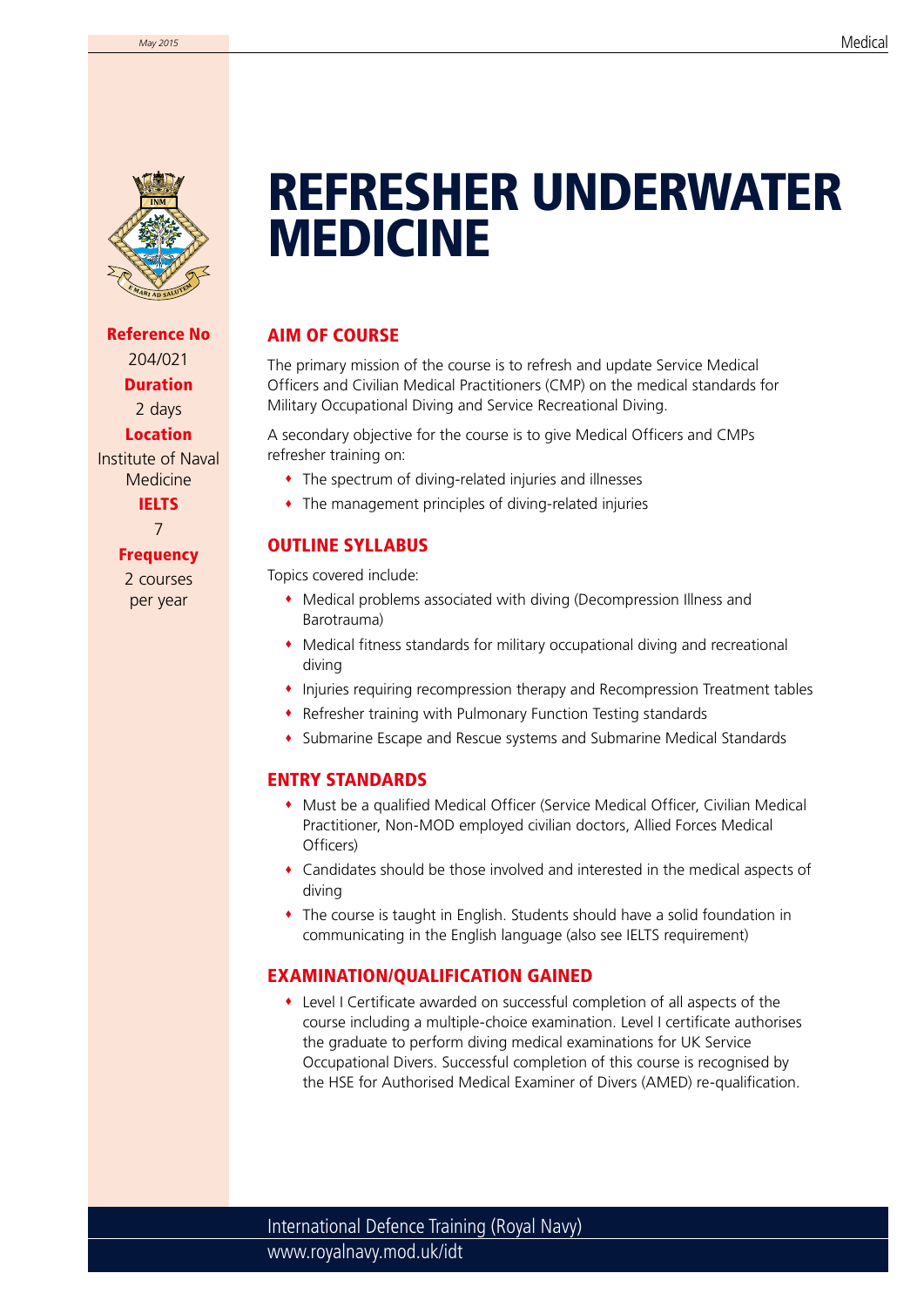

Reference No 204/021 Duration 2 days Location

Institute of Naval Medicine IELTS

7

#### **Frequency**

2 courses per year

# **INM** REFRESHER UNDERWATER MEDICINE

### AIM OF COURSE

The primary mission of the course is to refresh and update Service Medical Officers and Civilian Medical Practitioners (CMP) on the medical standards for Military Occupational Diving and Service Recreational Diving.

A secondary objective for the course is to give Medical Officers and CMPs refresher training on:

- The spectrum of diving-related injuries and illnesses
- The management principles of diving-related injuries

## OUTLINE SYLLABUS

Topics covered include:

- Medical problems associated with diving (Decompression Illness and Barotrauma)
- Medical fitness standards for military occupational diving and recreational diving
- Injuries requiring recompression therapy and Recompression Treatment tables
- Refresher training with Pulmonary Function Testing standards
- Submarine Escape and Rescue systems and Submarine Medical Standards

### ENTRY STANDARDS

- Must be a qualified Medical Officer (Service Medical Officer, Civilian Medical Practitioner, Non-MOD employed civilian doctors, Allied Forces Medical Officers)
- Candidates should be those involved and interested in the medical aspects of diving
- The course is taught in English. Students should have a solid foundation in communicating in the English language (also see IELTS requirement)

#### EXAMINATION/QUALIFICATION GAINED

 Level I Certificate awarded on successful completion of all aspects of the course including a multiple-choice examination. Level I certificate authorises the graduate to perform diving medical examinations for UK Service Occupational Divers. Successful completion of this course is recognised by the HSE for Authorised Medical Examiner of Divers (AMED) re-qualification.

www.royalnavy.mod.uk/idt International Defence Training (Royal Navy)